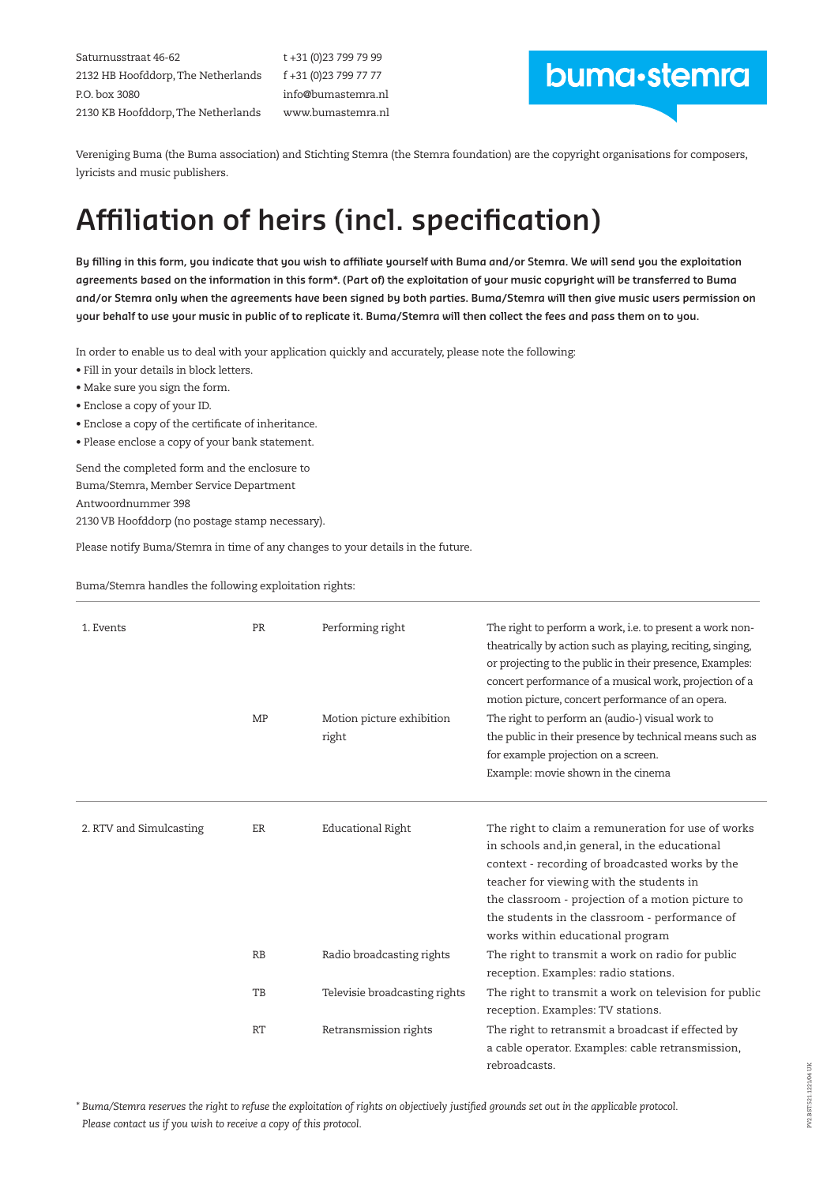Saturnusstraat 46-62 2132 HB Hoofddorp, The Netherlands P.O. box 3080 2130 KB Hoofddorp, The Netherlands

t +31 (0)23 799 79 99 f +31 (0)23 799 77 77 info@bumastemra.nl www.bumastemra.nl

# buma-stemra

Vereniging Buma (the Buma association) and Stichting Stemra (the Stemra foundation) are the copyright organisations for composers, lyricists and music publishers.

# **Affiliation of heirs (incl. specification)**

**By filling in this form, you indicate that you wish to affiliate yourself with Buma and/or Stemra. We will send you the exploitation agreements based on the information in this form\*. (Part of) the exploitation of your music copyright will be transferred to Buma and/or Stemra only when the agreements have been signed by both parties. Buma/Stemra will then give music users permission on your behalf to use your music in public of to replicate it. Buma/Stemra will then collect the fees and pass them on to you.** 

In order to enable us to deal with your application quickly and accurately, please note the following:

- Fill in your details in block letters.
- Make sure you sign the form.
- Enclose a copy of your ID.
- Enclose a copy of the certificate of inheritance.
- Please enclose a copy of your bank statement.

Send the completed form and the enclosure to Buma/Stemra, Member Service Department Antwoordnummer 398 2130 VB Hoofddorp (no postage stamp necessary).

Please notify Buma/Stemra in time of any changes to your details in the future.

Buma/Stemra handles the following exploitation rights:

| 1. Events               | PR<br>MP  | Performing right<br>Motion picture exhibition<br>right | The right to perform a work, i.e. to present a work non-<br>theatrically by action such as playing, reciting, singing,<br>or projecting to the public in their presence, Examples:<br>concert performance of a musical work, projection of a<br>motion picture, concert performance of an opera.<br>The right to perform an (audio-) visual work to<br>the public in their presence by technical means such as<br>for example projection on a screen. |  |  |  |
|-------------------------|-----------|--------------------------------------------------------|-------------------------------------------------------------------------------------------------------------------------------------------------------------------------------------------------------------------------------------------------------------------------------------------------------------------------------------------------------------------------------------------------------------------------------------------------------|--|--|--|
|                         |           |                                                        | Example: movie shown in the cinema                                                                                                                                                                                                                                                                                                                                                                                                                    |  |  |  |
| 2. RTV and Simulcasting | ER        | <b>Educational Right</b>                               | The right to claim a remuneration for use of works<br>in schools and, in general, in the educational<br>context - recording of broadcasted works by the<br>teacher for viewing with the students in<br>the classroom - projection of a motion picture to<br>the students in the classroom - performance of<br>works within educational program                                                                                                        |  |  |  |
|                         | RB        | Radio broadcasting rights                              | The right to transmit a work on radio for public<br>reception. Examples: radio stations.                                                                                                                                                                                                                                                                                                                                                              |  |  |  |
|                         | TB        | Televisie broadcasting rights                          | The right to transmit a work on television for public<br>reception. Examples: TV stations.                                                                                                                                                                                                                                                                                                                                                            |  |  |  |
|                         | <b>RT</b> | Retransmission rights                                  | The right to retransmit a broadcast if effected by<br>a cable operator. Examples: cable retransmission,<br>rebroadcasts.                                                                                                                                                                                                                                                                                                                              |  |  |  |

*\* Buma/Stemra reserves the right to refuse the exploitation of rights on objectively justified grounds set out in the applicable protocol. Please contact us if you wish to receive a copy of this protocol.*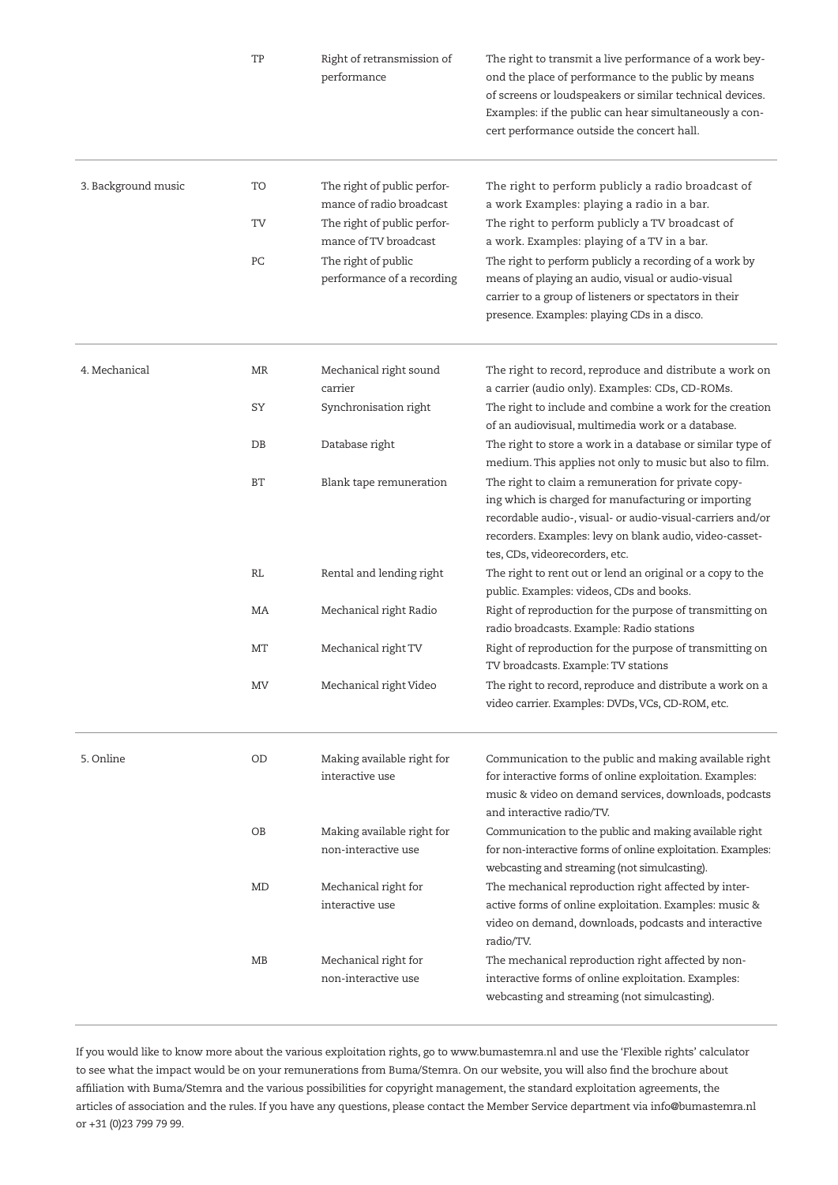|                     | TP   | Right of retransmission of<br>performance               | The right to transmit a live performance of a work bey-<br>ond the place of performance to the public by means<br>of screens or loudspeakers or similar technical devices.<br>Examples: if the public can hear simultaneously a con-<br>cert performance outside the concert hall. |
|---------------------|------|---------------------------------------------------------|------------------------------------------------------------------------------------------------------------------------------------------------------------------------------------------------------------------------------------------------------------------------------------|
| 3. Background music | TO   | The right of public perfor-<br>mance of radio broadcast | The right to perform publicly a radio broadcast of<br>a work Examples: playing a radio in a bar.                                                                                                                                                                                   |
|                     | TV   | The right of public perfor-<br>mance of TV broadcast    | The right to perform publicly a TV broadcast of<br>a work. Examples: playing of a TV in a bar.                                                                                                                                                                                     |
|                     | PC   | The right of public<br>performance of a recording       | The right to perform publicly a recording of a work by<br>means of playing an audio, visual or audio-visual<br>carrier to a group of listeners or spectators in their<br>presence. Examples: playing CDs in a disco.                                                               |
| 4. Mechanical       | MR   | Mechanical right sound<br>carrier                       | The right to record, reproduce and distribute a work on<br>a carrier (audio only). Examples: CDs, CD-ROMs.                                                                                                                                                                         |
|                     | SY   | Synchronisation right                                   | The right to include and combine a work for the creation<br>of an audiovisual, multimedia work or a database.                                                                                                                                                                      |
|                     | $DB$ | Database right                                          | The right to store a work in a database or similar type of<br>medium. This applies not only to music but also to film.                                                                                                                                                             |
|                     | BT   | Blank tape remuneration                                 | The right to claim a remuneration for private copy-<br>ing which is charged for manufacturing or importing<br>recordable audio-, visual- or audio-visual-carriers and/or<br>recorders. Examples: levy on blank audio, video-casset-<br>tes, CDs, videorecorders, etc.              |
|                     | RL   | Rental and lending right                                | The right to rent out or lend an original or a copy to the<br>public. Examples: videos, CDs and books.                                                                                                                                                                             |
|                     | MA   | Mechanical right Radio                                  | Right of reproduction for the purpose of transmitting on<br>radio broadcasts. Example: Radio stations                                                                                                                                                                              |
|                     | MT   | Mechanical right TV                                     | Right of reproduction for the purpose of transmitting on<br>TV broadcasts. Example: TV stations                                                                                                                                                                                    |
|                     | MV   | Mechanical right Video                                  | The right to record, reproduce and distribute a work on a<br>video carrier. Examples: DVDs, VCs, CD-ROM, etc.                                                                                                                                                                      |
| 5. Online           | OD   | Making available right for<br>interactive use           | Communication to the public and making available right<br>for interactive forms of online exploitation. Examples:<br>music & video on demand services, downloads, podcasts<br>and interactive radio/TV.                                                                            |
|                     | ΟB   | Making available right for<br>non-interactive use       | Communication to the public and making available right<br>for non-interactive forms of online exploitation. Examples:<br>webcasting and streaming (not simulcasting).                                                                                                              |
|                     | MD   | Mechanical right for<br>interactive use                 | The mechanical reproduction right affected by inter-<br>active forms of online exploitation. Examples: music &<br>video on demand, downloads, podcasts and interactive<br>radio/TV.                                                                                                |
|                     | MB   | Mechanical right for<br>non-interactive use             | The mechanical reproduction right affected by non-<br>interactive forms of online exploitation. Examples:<br>webcasting and streaming (not simulcasting).                                                                                                                          |

If you would like to know more about the various exploitation rights, go to www.bumastemra.nl and use the 'Flexible rights' calculator to see what the impact would be on your remunerations from Buma/Stemra. On our website, you will also find the brochure about affiliation with Buma/Stemra and the various possibilities for copyright management, the standard exploitation agreements, the articles of association and the rules. If you have any questions, please contact the Member Service department via info@bumastemra.nl or +31 (0)23 799 79 99.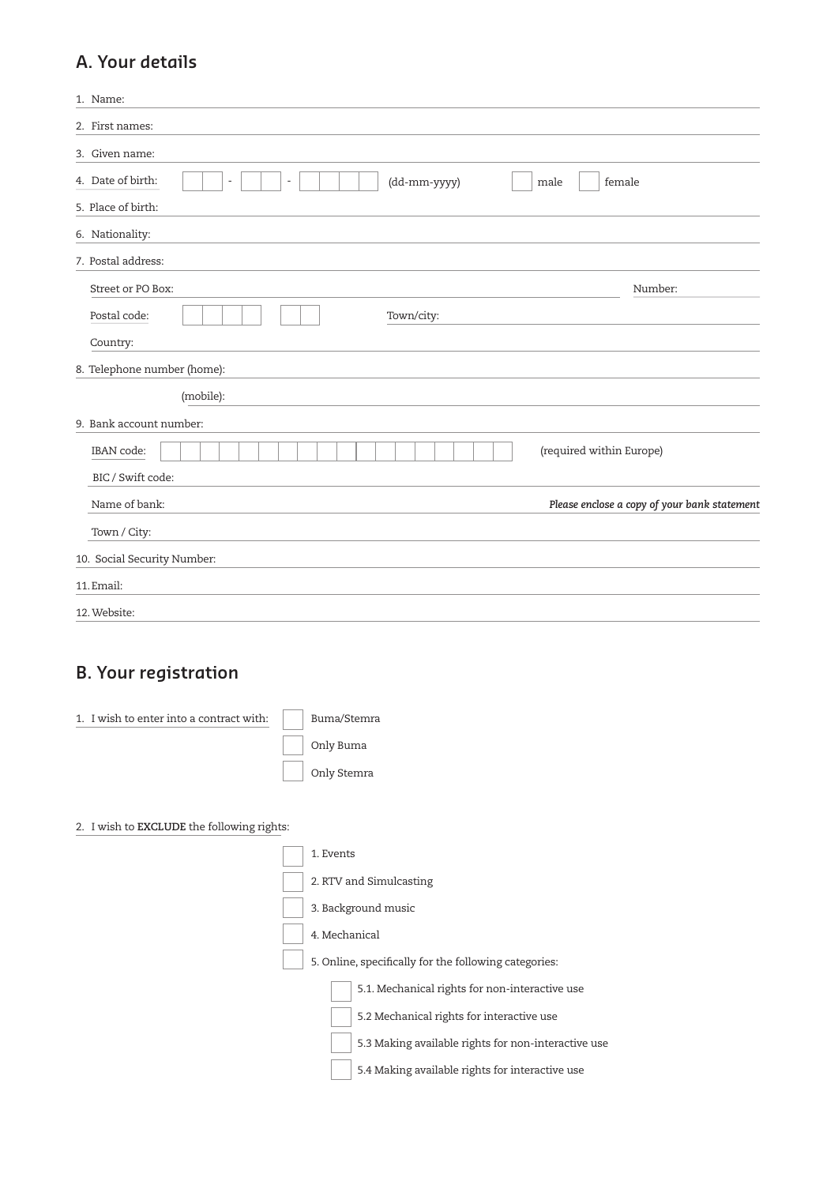### **A. Your details**

| 1. Name:                                                            |                                              |
|---------------------------------------------------------------------|----------------------------------------------|
| 2. First names:                                                     |                                              |
| 3. Given name:                                                      |                                              |
| 4. Date of birth:<br>(dd-mm-yyyy)<br>÷,<br>$\overline{\phantom{a}}$ | female<br>male                               |
| 5. Place of birth:                                                  |                                              |
| 6. Nationality:                                                     |                                              |
| 7. Postal address:                                                  |                                              |
| Street or PO Box:                                                   | Number:                                      |
| Postal code:<br>Town/city:                                          |                                              |
| Country:                                                            |                                              |
| 8. Telephone number (home):                                         |                                              |
| (mobile):                                                           |                                              |
| 9. Bank account number:                                             |                                              |
| IBAN code:                                                          | (required within Europe)                     |
| BIC / Swift code:                                                   |                                              |
| Name of bank:                                                       | Please enclose a copy of your bank statement |
| Town / City:                                                        |                                              |
| 10. Social Security Number:                                         |                                              |
| 11. Email:                                                          |                                              |
| 12. Website:                                                        |                                              |

## **B. Your registration**

| 1. I wish to enter into a contract with:   | Buma/Stemra                                           |
|--------------------------------------------|-------------------------------------------------------|
|                                            | Only Buma                                             |
|                                            | Only Stemra                                           |
|                                            |                                                       |
| 2. I wish to EXCLUDE the following rights: |                                                       |
|                                            | 1. Events                                             |
|                                            | 2. RTV and Simulcasting                               |
|                                            | 3. Background music                                   |
|                                            | 4. Mechanical                                         |
|                                            | 5. Online, specifically for the following categories: |
|                                            | 5.1. Mechanical rights for non-interactive use        |
|                                            | 5.2 Mechanical rights for interactive use             |
|                                            | 5.3 Making available rights for non-interactive use   |
|                                            | 5.4 Making available rights for interactive use       |